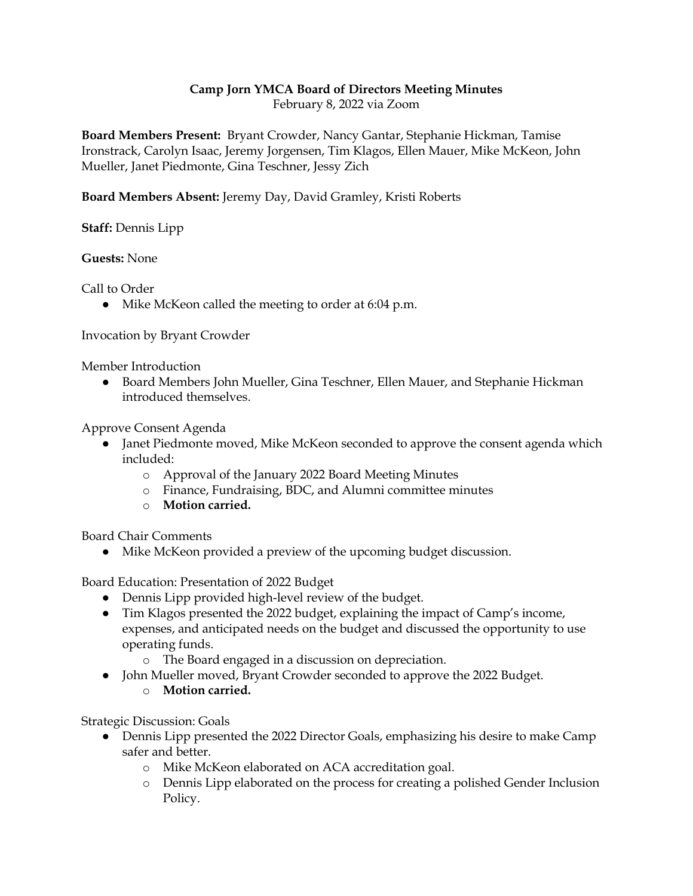## **Camp Jorn YMCA Board of Directors Meeting Minutes**

February 8, 2022 via Zoom

**Board Members Present:** Bryant Crowder, Nancy Gantar, Stephanie Hickman, Tamise Ironstrack, Carolyn Isaac, Jeremy Jorgensen, Tim Klagos, Ellen Mauer, Mike McKeon, John Mueller, Janet Piedmonte, Gina Teschner, Jessy Zich

**Board Members Absent:** Jeremy Day, David Gramley, Kristi Roberts

**Staff:** Dennis Lipp

**Guests:** None

Call to Order

● Mike McKeon called the meeting to order at 6:04 p.m.

Invocation by Bryant Crowder

Member Introduction

● Board Members John Mueller, Gina Teschner, Ellen Mauer, and Stephanie Hickman introduced themselves.

Approve Consent Agenda

- Janet Piedmonte moved, Mike McKeon seconded to approve the consent agenda which included:
	- o Approval of the January 2022 Board Meeting Minutes
	- o Finance, Fundraising, BDC, and Alumni committee minutes
	- o **Motion carried.**

Board Chair Comments

● Mike McKeon provided a preview of the upcoming budget discussion.

Board Education: Presentation of 2022 Budget

- Dennis Lipp provided high-level review of the budget.
- Tim Klagos presented the 2022 budget, explaining the impact of Camp's income, expenses, and anticipated needs on the budget and discussed the opportunity to use operating funds.
	- o The Board engaged in a discussion on depreciation.
- John Mueller moved, Bryant Crowder seconded to approve the 2022 Budget.
	- o **Motion carried.**

Strategic Discussion: Goals

- Dennis Lipp presented the 2022 Director Goals, emphasizing his desire to make Camp safer and better.
	- o Mike McKeon elaborated on ACA accreditation goal.
	- o Dennis Lipp elaborated on the process for creating a polished Gender Inclusion Policy.